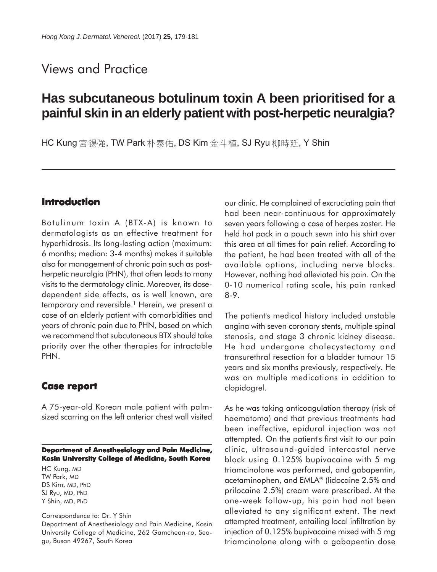## Views and Practice

# **Has subcutaneous botulinum toxin A been prioritised for a painful skin in an elderly patient with post-herpetic neuralgia?**

HC Kung 宮錫強, TW Park 朴泰佑, DS Kim 金斗植, SJ Ryu 柳時廷, Y Shin

### **Introduction**

Botulinum toxin A (BTX-A) is known to dermatologists as an effective treatment for hyperhidrosis. Its long-lasting action (maximum: 6 months; median: 3-4 months) makes it suitable also for management of chronic pain such as postherpetic neuralgia (PHN), that often leads to many visits to the dermatology clinic. Moreover, its dosedependent side effects, as is well known, are temporary and reversible.<sup>1</sup> Herein, we present a case of an elderly patient with comorbidities and years of chronic pain due to PHN, based on which we recommend that subcutaneous BTX should take priority over the other therapies for intractable PHN.

#### **Case report Case report**

A 75-year-old Korean male patient with palmsized scarring on the left anterior chest wall visited

**Department of Anesthesiology and Pain Medicine, Kosin University College of Medicine, South Korea**

HC Kung, MD TW Park, MD DS Kim, MD, PhD SJ Ryu, MD, PhD Y Shin, MD, PhD

Correspondence to: Dr. Y Shin Department of Anesthesiology and Pain Medicine, Kosin University College of Medicine, 262 Gamcheon-ro, Seogu, Busan 49267, South Korea

our clinic. He complained of excruciating pain that had been near-continuous for approximately seven years following a case of herpes zoster. He held hot pack in a pouch sewn into his shirt over this area at all times for pain relief. According to the patient, he had been treated with all of the available options, including nerve blocks. However, nothing had alleviated his pain. On the 0-10 numerical rating scale, his pain ranked 8-9.

The patient's medical history included unstable angina with seven coronary stents, multiple spinal stenosis, and stage 3 chronic kidney disease. He had undergone cholecystectomy and transurethral resection for a bladder tumour 15 years and six months previously, respectively. He was on multiple medications in addition to clopidogrel.

As he was taking anticoagulation therapy (risk of haematoma) and that previous treatments had been ineffective, epidural injection was not attempted. On the patient's first visit to our pain clinic, ultrasound-guided intercostal nerve block using 0.125% bupivacaine with 5 mg triamcinolone was performed, and gabapentin, acetaminophen, and EMLA® (lidocaine 2.5% and prilocaine 2.5%) cream were prescribed. At the one-week follow-up, his pain had not been alleviated to any significant extent. The next attempted treatment, entailing local infiltration by injection of 0.125% bupivacaine mixed with 5 mg triamcinolone along with a gabapentin dose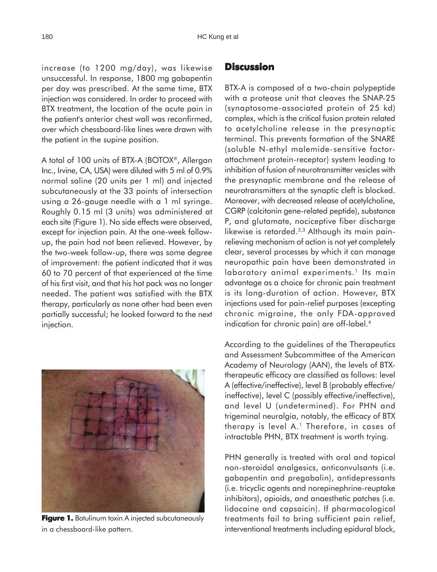increase (to 1200 mg/day), was likewise unsuccessful. In response, 1800 mg gabapentin per day was prescribed. At the same time, BTX injection was considered. In order to proceed with BTX treatment, the location of the acute pain in the patient's anterior chest wall was reconfirmed, over which chessboard-like lines were drawn with the patient in the supine position.

A total of 100 units of BTX-A (BOTOX®, Allergan Inc., Irvine, CA, USA) were diluted with 5 ml of 0.9% normal saline (20 units per 1 ml) and injected subcutaneously at the 33 points of intersection using a 26-gauge needle with a 1 ml syringe. Roughly 0.15 ml (3 units) was administered at each site (Figure 1). No side effects were observed, except for injection pain. At the one-week followup, the pain had not been relieved. However, by the two-week follow-up, there was some degree of improvement: the patient indicated that it was 60 to 70 percent of that experienced at the time of his first visit, and that his hot pack was no longer needed. The patient was satisfied with the BTX therapy, particularly as none other had been even partially successful; he looked forward to the next injection.



**Figure 1.** Botulinum toxin A injected subcutaneously in a chessboard-like pattern.

### **Discussion**

BTX-A is composed of a two-chain polypeptide with a protease unit that cleaves the SNAP-25 (synaptosome-associated protein of 25 kd) complex, which is the critical fusion protein related to acetylcholine release in the presynaptic terminal. This prevents formation of the SNARE (soluble N-ethyl malemide-sensitive factorattachment protein-receptor) system leading to inhibition of fusion of neurotransmitter vesicles with the presynaptic membrane and the release of neurotransmitters at the synaptic cleft is blocked. Moreover, with decreased release of acetylcholine, CGRP (calcitonin gene-related peptide), substance P, and glutamate, nociceptive fiber discharge likewise is retarded.<sup>2,3</sup> Although its main painrelieving mechanism of action is not yet completely clear, several processes by which it can manage neuropathic pain have been demonstrated in laboratory animal experiments.<sup>1</sup> Its main advantage as a choice for chronic pain treatment is its long-duration of action. However, BTX injections used for pain-relief purposes (excepting chronic migraine, the only FDA-approved indication for chronic pain) are off-label.4

According to the guidelines of the Therapeutics and Assessment Subcommittee of the American Academy of Neurology (AAN), the levels of BTXtherapeutic efficacy are classified as follows: level A (effective/ineffective), level B (probably effective/ ineffective), level C (possibly effective/ineffective), and level U (undetermined). For PHN and trigeminal neuralgia, notably, the efficacy of BTX therapy is level A.<sup>1</sup> Therefore, in cases of intractable PHN, BTX treatment is worth trying.

PHN generally is treated with oral and topical non-steroidal analgesics, anticonvulsants (i.e. gabapentin and pregabalin), antidepressants (i.e. tricyclic agents and norepinephrine-reuptake inhibitors), opioids, and anaesthetic patches (i.e. lidocaine and capsaicin). If pharmacological treatments fail to bring sufficient pain relief, interventional treatments including epidural block,